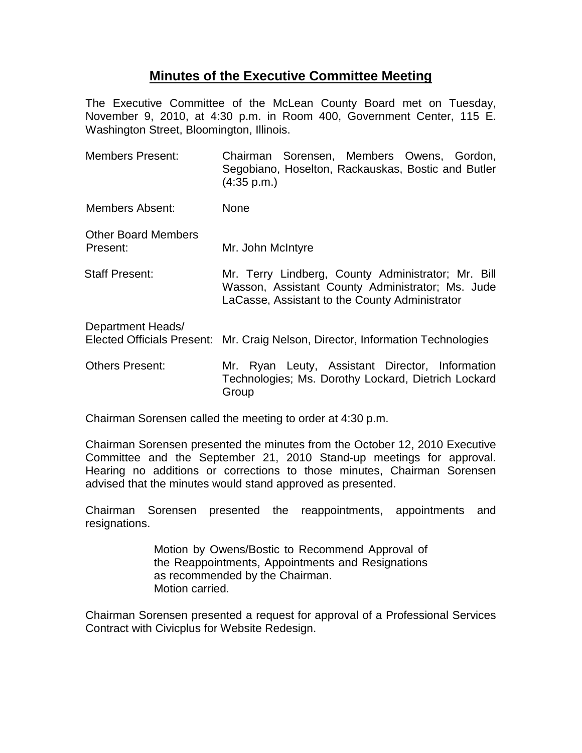## **Minutes of the Executive Committee Meeting**

The Executive Committee of the McLean County Board met on Tuesday, November 9, 2010, at 4:30 p.m. in Room 400, Government Center, 115 E. Washington Street, Bloomington, Illinois.

| <b>Members Present:</b>                                | Chairman Sorensen, Members Owens, Gordon,<br>Segobiano, Hoselton, Rackauskas, Bostic and Butler<br>(4:35 p.m.)                                           |
|--------------------------------------------------------|----------------------------------------------------------------------------------------------------------------------------------------------------------|
| Members Absent:                                        | None                                                                                                                                                     |
| <b>Other Board Members</b><br>Present:                 | Mr. John McIntyre                                                                                                                                        |
| Staff Present:                                         | Mr. Terry Lindberg, County Administrator; Mr. Bill<br>Wasson, Assistant County Administrator; Ms. Jude<br>LaCasse, Assistant to the County Administrator |
| Department Heads/<br><b>Elected Officials Present:</b> | Mr. Craig Nelson, Director, Information Technologies                                                                                                     |
| <b>Others Present:</b>                                 | Mr. Ryan Leuty, Assistant Director, Information<br>Technologies; Ms. Dorothy Lockard, Dietrich Lockard<br>Group                                          |

Chairman Sorensen called the meeting to order at 4:30 p.m.

Chairman Sorensen presented the minutes from the October 12, 2010 Executive Committee and the September 21, 2010 Stand-up meetings for approval. Hearing no additions or corrections to those minutes, Chairman Sorensen advised that the minutes would stand approved as presented.

Chairman Sorensen presented the reappointments, appointments and resignations.

> Motion by Owens/Bostic to Recommend Approval of the Reappointments, Appointments and Resignations as recommended by the Chairman. Motion carried.

Chairman Sorensen presented a request for approval of a Professional Services Contract with Civicplus for Website Redesign.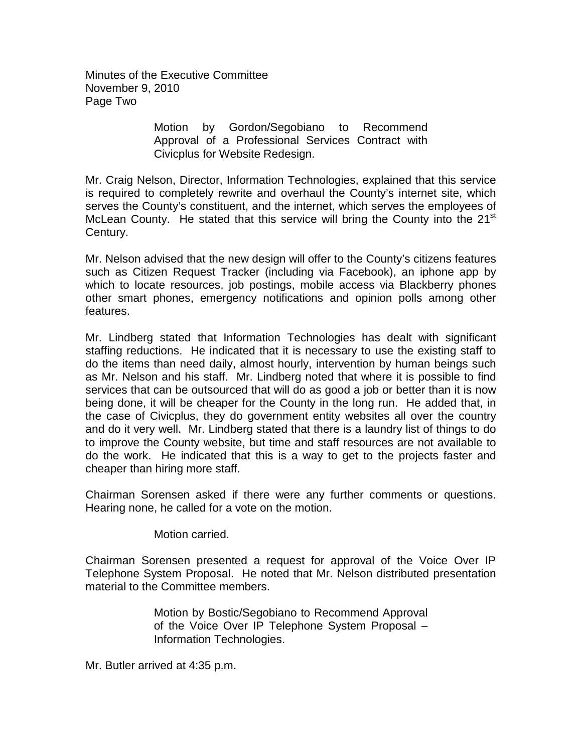Minutes of the Executive Committee November 9, 2010 Page Two

> Motion by Gordon/Segobiano to Recommend Approval of a Professional Services Contract with Civicplus for Website Redesign.

Mr. Craig Nelson, Director, Information Technologies, explained that this service is required to completely rewrite and overhaul the County's internet site, which serves the County's constituent, and the internet, which serves the employees of McLean County. He stated that this service will bring the County into the  $21<sup>st</sup>$ Century.

Mr. Nelson advised that the new design will offer to the County's citizens features such as Citizen Request Tracker (including via Facebook), an iphone app by which to locate resources, job postings, mobile access via Blackberry phones other smart phones, emergency notifications and opinion polls among other features.

Mr. Lindberg stated that Information Technologies has dealt with significant staffing reductions. He indicated that it is necessary to use the existing staff to do the items than need daily, almost hourly, intervention by human beings such as Mr. Nelson and his staff. Mr. Lindberg noted that where it is possible to find services that can be outsourced that will do as good a job or better than it is now being done, it will be cheaper for the County in the long run. He added that, in the case of Civicplus, they do government entity websites all over the country and do it very well. Mr. Lindberg stated that there is a laundry list of things to do to improve the County website, but time and staff resources are not available to do the work. He indicated that this is a way to get to the projects faster and cheaper than hiring more staff.

Chairman Sorensen asked if there were any further comments or questions. Hearing none, he called for a vote on the motion.

Motion carried.

Chairman Sorensen presented a request for approval of the Voice Over IP Telephone System Proposal. He noted that Mr. Nelson distributed presentation material to the Committee members.

> Motion by Bostic/Segobiano to Recommend Approval of the Voice Over IP Telephone System Proposal – Information Technologies.

Mr. Butler arrived at 4:35 p.m.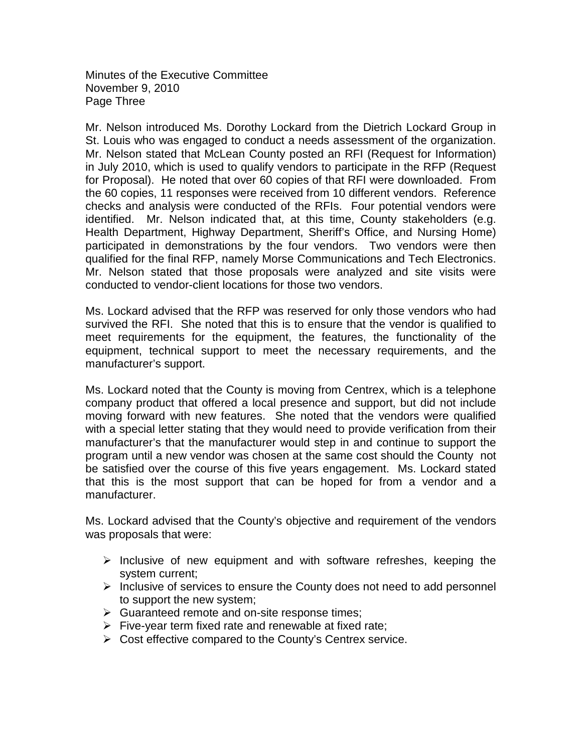Minutes of the Executive Committee November 9, 2010 Page Three

Mr. Nelson introduced Ms. Dorothy Lockard from the Dietrich Lockard Group in St. Louis who was engaged to conduct a needs assessment of the organization. Mr. Nelson stated that McLean County posted an RFI (Request for Information) in July 2010, which is used to qualify vendors to participate in the RFP (Request for Proposal). He noted that over 60 copies of that RFI were downloaded. From the 60 copies, 11 responses were received from 10 different vendors. Reference checks and analysis were conducted of the RFIs. Four potential vendors were identified. Mr. Nelson indicated that, at this time, County stakeholders (e.g. Health Department, Highway Department, Sheriff's Office, and Nursing Home) participated in demonstrations by the four vendors. Two vendors were then qualified for the final RFP, namely Morse Communications and Tech Electronics. Mr. Nelson stated that those proposals were analyzed and site visits were conducted to vendor-client locations for those two vendors.

Ms. Lockard advised that the RFP was reserved for only those vendors who had survived the RFI. She noted that this is to ensure that the vendor is qualified to meet requirements for the equipment, the features, the functionality of the equipment, technical support to meet the necessary requirements, and the manufacturer's support.

Ms. Lockard noted that the County is moving from Centrex, which is a telephone company product that offered a local presence and support, but did not include moving forward with new features. She noted that the vendors were qualified with a special letter stating that they would need to provide verification from their manufacturer's that the manufacturer would step in and continue to support the program until a new vendor was chosen at the same cost should the County not be satisfied over the course of this five years engagement. Ms. Lockard stated that this is the most support that can be hoped for from a vendor and a manufacturer.

Ms. Lockard advised that the County's objective and requirement of the vendors was proposals that were:

- $\triangleright$  Inclusive of new equipment and with software refreshes, keeping the system current;
- $\triangleright$  Inclusive of services to ensure the County does not need to add personnel to support the new system;
- Suaranteed remote and on-site response times;
- $\triangleright$  Five-year term fixed rate and renewable at fixed rate;
- $\triangleright$  Cost effective compared to the County's Centrex service.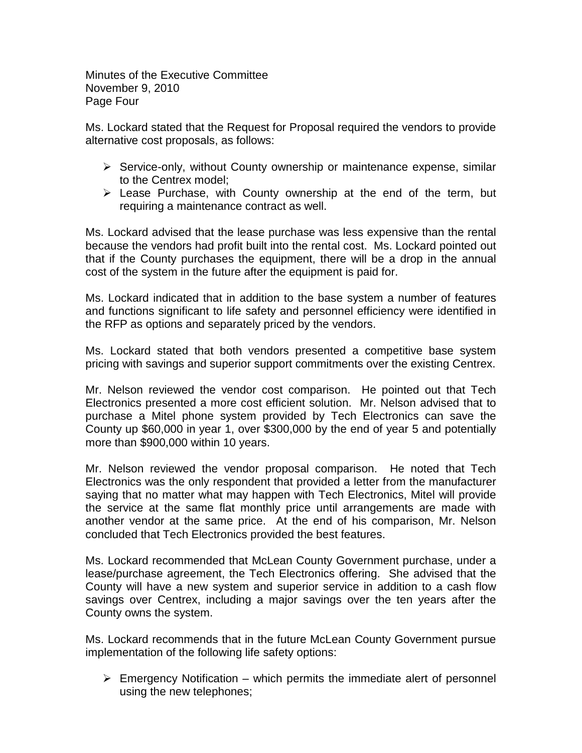Minutes of the Executive Committee November 9, 2010 Page Four

Ms. Lockard stated that the Request for Proposal required the vendors to provide alternative cost proposals, as follows:

- $\triangleright$  Service-only, without County ownership or maintenance expense, similar to the Centrex model;
- $\triangleright$  Lease Purchase, with County ownership at the end of the term, but requiring a maintenance contract as well.

Ms. Lockard advised that the lease purchase was less expensive than the rental because the vendors had profit built into the rental cost. Ms. Lockard pointed out that if the County purchases the equipment, there will be a drop in the annual cost of the system in the future after the equipment is paid for.

Ms. Lockard indicated that in addition to the base system a number of features and functions significant to life safety and personnel efficiency were identified in the RFP as options and separately priced by the vendors.

Ms. Lockard stated that both vendors presented a competitive base system pricing with savings and superior support commitments over the existing Centrex.

Mr. Nelson reviewed the vendor cost comparison. He pointed out that Tech Electronics presented a more cost efficient solution. Mr. Nelson advised that to purchase a Mitel phone system provided by Tech Electronics can save the County up \$60,000 in year 1, over \$300,000 by the end of year 5 and potentially more than \$900,000 within 10 years.

Mr. Nelson reviewed the vendor proposal comparison. He noted that Tech Electronics was the only respondent that provided a letter from the manufacturer saying that no matter what may happen with Tech Electronics, Mitel will provide the service at the same flat monthly price until arrangements are made with another vendor at the same price. At the end of his comparison, Mr. Nelson concluded that Tech Electronics provided the best features.

Ms. Lockard recommended that McLean County Government purchase, under a lease/purchase agreement, the Tech Electronics offering. She advised that the County will have a new system and superior service in addition to a cash flow savings over Centrex, including a major savings over the ten years after the County owns the system.

Ms. Lockard recommends that in the future McLean County Government pursue implementation of the following life safety options:

 $\triangleright$  Emergency Notification – which permits the immediate alert of personnel using the new telephones;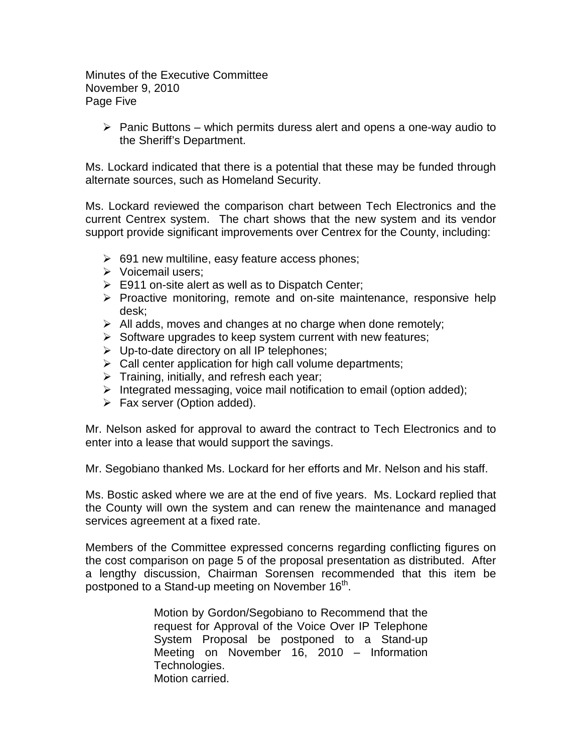Minutes of the Executive Committee November 9, 2010 Page Five

 $\triangleright$  Panic Buttons – which permits duress alert and opens a one-way audio to the Sheriff's Department.

Ms. Lockard indicated that there is a potential that these may be funded through alternate sources, such as Homeland Security.

Ms. Lockard reviewed the comparison chart between Tech Electronics and the current Centrex system. The chart shows that the new system and its vendor support provide significant improvements over Centrex for the County, including:

- $\geq$  691 new multiline, easy feature access phones;
- Voicemail users;
- $\triangleright$  E911 on-site alert as well as to Dispatch Center;
- $\triangleright$  Proactive monitoring, remote and on-site maintenance, responsive help desk;
- $\triangleright$  All adds, moves and changes at no charge when done remotely;
- $\triangleright$  Software upgrades to keep system current with new features;
- $\triangleright$  Up-to-date directory on all IP telephones;
- $\triangleright$  Call center application for high call volume departments;
- $\triangleright$  Training, initially, and refresh each year;
- $\triangleright$  Integrated messaging, voice mail notification to email (option added);
- $\triangleright$  Fax server (Option added).

Mr. Nelson asked for approval to award the contract to Tech Electronics and to enter into a lease that would support the savings.

Mr. Segobiano thanked Ms. Lockard for her efforts and Mr. Nelson and his staff.

Ms. Bostic asked where we are at the end of five years. Ms. Lockard replied that the County will own the system and can renew the maintenance and managed services agreement at a fixed rate.

Members of the Committee expressed concerns regarding conflicting figures on the cost comparison on page 5 of the proposal presentation as distributed. After a lengthy discussion, Chairman Sorensen recommended that this item be postponed to a Stand-up meeting on November  $16<sup>th</sup>$ .

> Motion by Gordon/Segobiano to Recommend that the request for Approval of the Voice Over IP Telephone System Proposal be postponed to a Stand-up Meeting on November 16, 2010 – Information Technologies. Motion carried.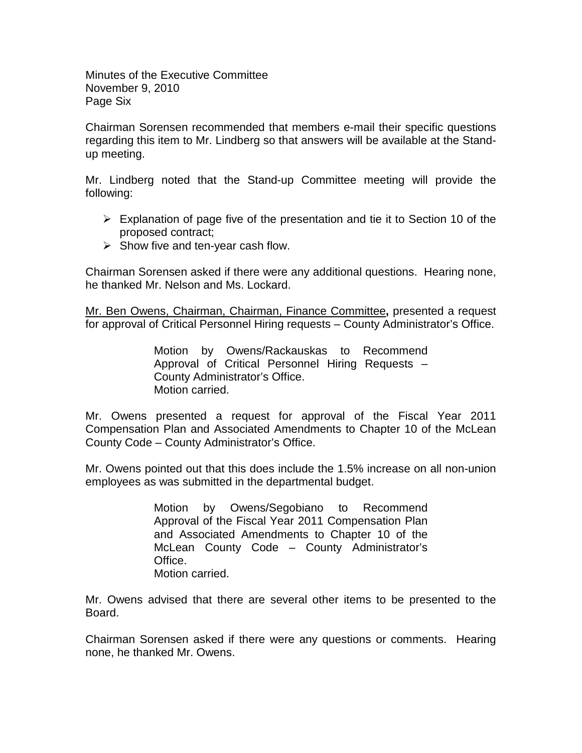Minutes of the Executive Committee November 9, 2010 Page Six

Chairman Sorensen recommended that members e-mail their specific questions regarding this item to Mr. Lindberg so that answers will be available at the Standup meeting.

Mr. Lindberg noted that the Stand-up Committee meeting will provide the following:

- $\triangleright$  Explanation of page five of the presentation and tie it to Section 10 of the proposed contract;
- $\triangleright$  Show five and ten-year cash flow.

Chairman Sorensen asked if there were any additional questions. Hearing none, he thanked Mr. Nelson and Ms. Lockard.

Mr. Ben Owens, Chairman, Chairman, Finance Committee**,** presented a request for approval of Critical Personnel Hiring requests – County Administrator's Office.

> Motion by Owens/Rackauskas to Recommend Approval of Critical Personnel Hiring Requests – County Administrator's Office. Motion carried.

Mr. Owens presented a request for approval of the Fiscal Year 2011 Compensation Plan and Associated Amendments to Chapter 10 of the McLean County Code – County Administrator's Office.

Mr. Owens pointed out that this does include the 1.5% increase on all non-union employees as was submitted in the departmental budget.

> Motion by Owens/Segobiano to Recommend Approval of the Fiscal Year 2011 Compensation Plan and Associated Amendments to Chapter 10 of the McLean County Code – County Administrator's Office. Motion carried.

Mr. Owens advised that there are several other items to be presented to the Board.

Chairman Sorensen asked if there were any questions or comments. Hearing none, he thanked Mr. Owens.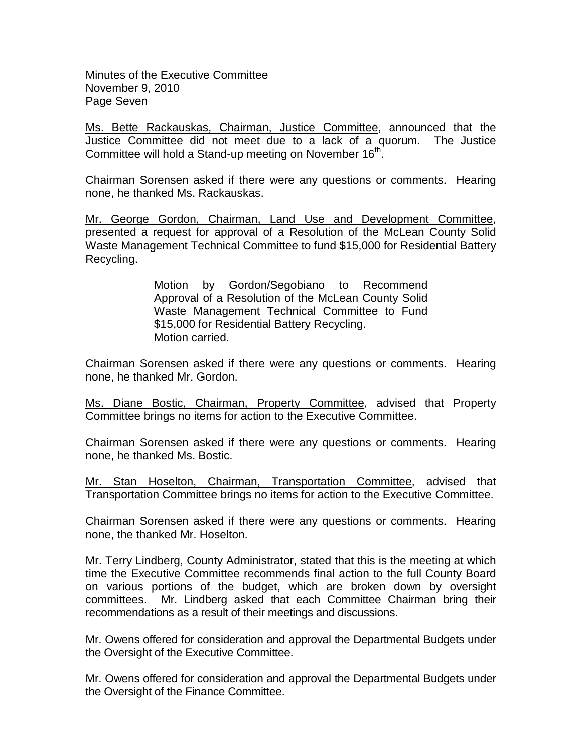Minutes of the Executive Committee November 9, 2010 Page Seven

Ms. Bette Rackauskas, Chairman, Justice Committee, announced that the Justice Committee did not meet due to a lack of a quorum. The Justice Committee will hold a Stand-up meeting on November 16<sup>th</sup>.

Chairman Sorensen asked if there were any questions or comments. Hearing none, he thanked Ms. Rackauskas.

Mr. George Gordon, Chairman, Land Use and Development Committee, presented a request for approval of a Resolution of the McLean County Solid Waste Management Technical Committee to fund \$15,000 for Residential Battery Recycling.

> Motion by Gordon/Segobiano to Recommend Approval of a Resolution of the McLean County Solid Waste Management Technical Committee to Fund \$15,000 for Residential Battery Recycling. Motion carried.

Chairman Sorensen asked if there were any questions or comments. Hearing none, he thanked Mr. Gordon.

Ms. Diane Bostic, Chairman, Property Committee, advised that Property Committee brings no items for action to the Executive Committee.

Chairman Sorensen asked if there were any questions or comments. Hearing none, he thanked Ms. Bostic.

Mr. Stan Hoselton, Chairman, Transportation Committee, advised that Transportation Committee brings no items for action to the Executive Committee.

Chairman Sorensen asked if there were any questions or comments. Hearing none, the thanked Mr. Hoselton.

Mr. Terry Lindberg, County Administrator, stated that this is the meeting at which time the Executive Committee recommends final action to the full County Board on various portions of the budget, which are broken down by oversight committees. Mr. Lindberg asked that each Committee Chairman bring their recommendations as a result of their meetings and discussions.

Mr. Owens offered for consideration and approval the Departmental Budgets under the Oversight of the Executive Committee.

Mr. Owens offered for consideration and approval the Departmental Budgets under the Oversight of the Finance Committee.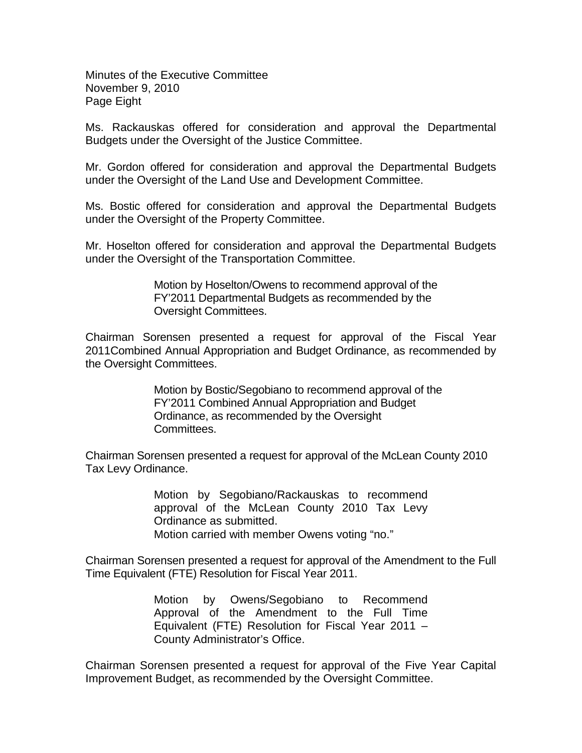Minutes of the Executive Committee November 9, 2010 Page Eight

Ms. Rackauskas offered for consideration and approval the Departmental Budgets under the Oversight of the Justice Committee.

Mr. Gordon offered for consideration and approval the Departmental Budgets under the Oversight of the Land Use and Development Committee.

Ms. Bostic offered for consideration and approval the Departmental Budgets under the Oversight of the Property Committee.

Mr. Hoselton offered for consideration and approval the Departmental Budgets under the Oversight of the Transportation Committee.

> Motion by Hoselton/Owens to recommend approval of the FY'2011 Departmental Budgets as recommended by the Oversight Committees.

Chairman Sorensen presented a request for approval of the Fiscal Year 2011Combined Annual Appropriation and Budget Ordinance, as recommended by the Oversight Committees.

> Motion by Bostic/Segobiano to recommend approval of the FY'2011 Combined Annual Appropriation and Budget Ordinance, as recommended by the Oversight Committees.

Chairman Sorensen presented a request for approval of the McLean County 2010 Tax Levy Ordinance.

> Motion by Segobiano/Rackauskas to recommend approval of the McLean County 2010 Tax Levy Ordinance as submitted. Motion carried with member Owens voting "no."

Chairman Sorensen presented a request for approval of the Amendment to the Full Time Equivalent (FTE) Resolution for Fiscal Year 2011.

> Motion by Owens/Segobiano to Recommend Approval of the Amendment to the Full Time Equivalent (FTE) Resolution for Fiscal Year 2011 – County Administrator's Office.

Chairman Sorensen presented a request for approval of the Five Year Capital Improvement Budget, as recommended by the Oversight Committee.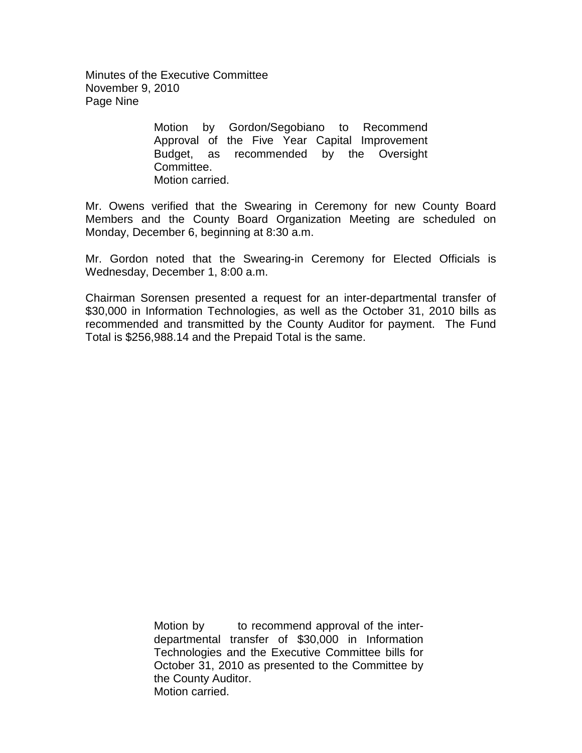Minutes of the Executive Committee November 9, 2010 Page Nine

> Motion by Gordon/Segobiano to Recommend Approval of the Five Year Capital Improvement Budget, as recommended by the Oversight Committee. Motion carried.

Mr. Owens verified that the Swearing in Ceremony for new County Board Members and the County Board Organization Meeting are scheduled on Monday, December 6, beginning at 8:30 a.m.

Mr. Gordon noted that the Swearing-in Ceremony for Elected Officials is Wednesday, December 1, 8:00 a.m.

Chairman Sorensen presented a request for an inter-departmental transfer of \$30,000 in Information Technologies, as well as the October 31, 2010 bills as recommended and transmitted by the County Auditor for payment. The Fund Total is \$256,988.14 and the Prepaid Total is the same.

> Motion by to recommend approval of the interdepartmental transfer of \$30,000 in Information Technologies and the Executive Committee bills for October 31, 2010 as presented to the Committee by the County Auditor. Motion carried.